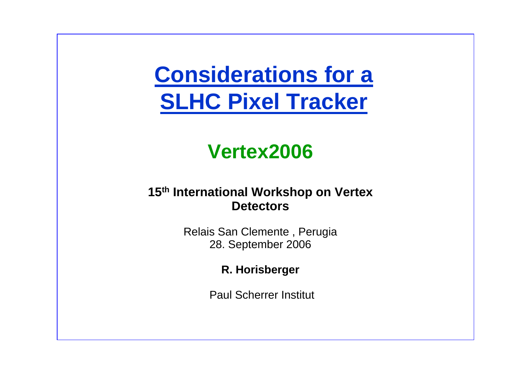# **Considerations for a SLHC Pixel Tracker**

## **Vertex2006**

#### **15th International Workshop on Vertex Detectors**

Relais San Clemente , Perugia 28. September 2006

**R. Horisberger**

Paul Scherrer Institut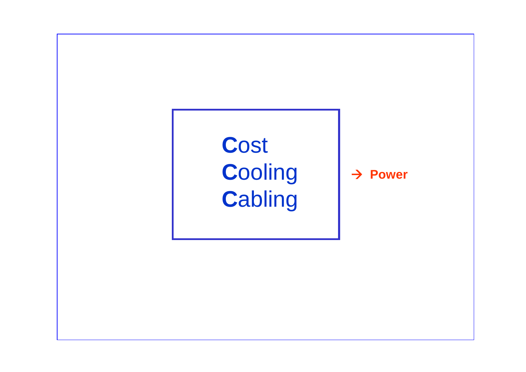# **C**ost **C**ooling **C**abling

 $→$  **Power**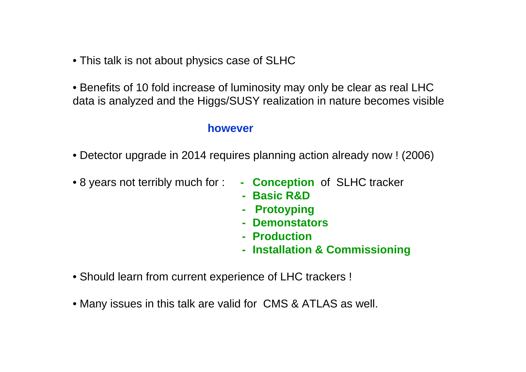- This talk is not about physics case of SLHC
- Benefits of 10 fold increase of luminosity may only be clear as real LHC data is analyzed and the Higgs/SUSY realization in nature becomes visible

#### **however**

- Detector upgrade in 2014 requires planning action already now ! (2006)
- 8
- **Conception** of SLHC tracker
- **- Basic R&D**
- **- Protoyping**
- **- Demonstators**
- **- Production**
- **- Installation & Commissioning**
- Should learn from current experience of LHC trackers !
- Many issues in this talk are valid for CMS & ATLAS as well.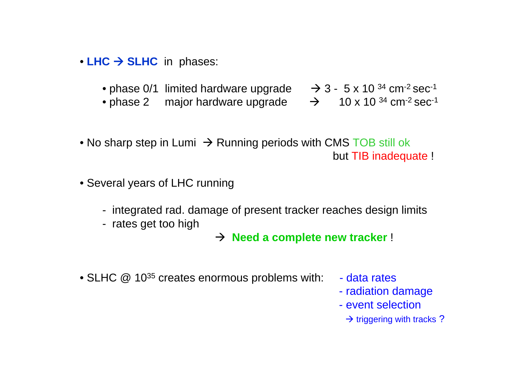- LHC → SLHC in phases:
	- $\bullet$  phase 0/1 limited hardware upgrade  $\phantom{00}$   $\rightarrow$  3  $\phantom{0}$  s x 10  $^{34}$  cm<sup>-2</sup> sec<sup>-1</sup>
	- phase 2 major hardware upgrade Æ 10 x 10 34 cm-2 sec-1
- -
- $\bullet$  No sharp step in Lumi  $\,\to$  Running periods with CMS TOB still ok but TIB inadequate !
- Several years of LHC running
	- integrated rad. damage of present tracker reaches design limits
	- rates get too high
- → **Need a complete new tracker** !
- SLHC  $@$  10<sup>35</sup> creates enormous problems with:  $-$  data rates
	-
	- radiation damage
	- event selection
		- $\rightarrow$  triggering with tracks ?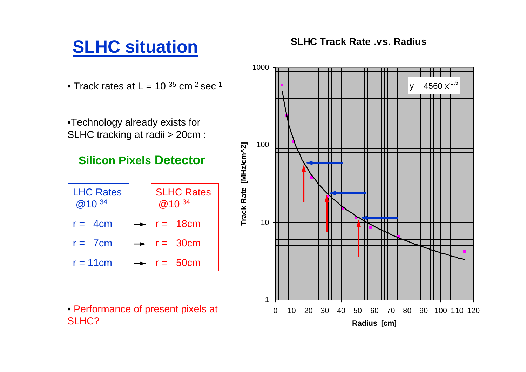## **SLHC situation**

 $\bullet$  Track rates at L = 10  $^{35}$  cm<sup>-2</sup> sec<sup>-1</sup>

•Technology already exists for SLHC tracking at radii > 20cm :

#### **Silicon Pixels Detector**



• Performance of present pixels at SLHC?

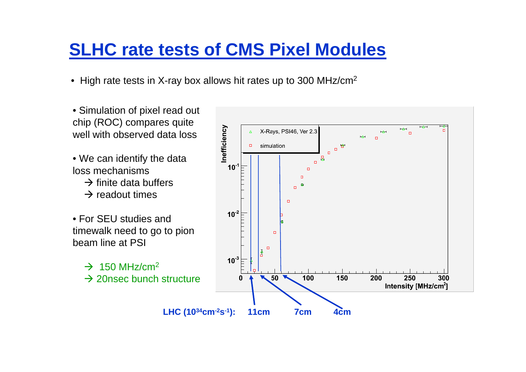### **SLHC rate tests of CMS Pixel Modules**

- High rate tests in X-ray box allows hit rates up to 300 MHz/cm<sup>2</sup>
- Simulation of pixel read out chip (ROC) compares quite well with observed data loss
- W e can identify the data loss mechanisms
	- $\rightarrow$  finite data buffers
	- $\rightarrow$  readout times
- •For SEU studies and timewalk need t o go to pion beam line at PSI
	- $\rightarrow$  150 MHz/cm<sup>2</sup>  $\rightarrow$  20nsec bunch structure

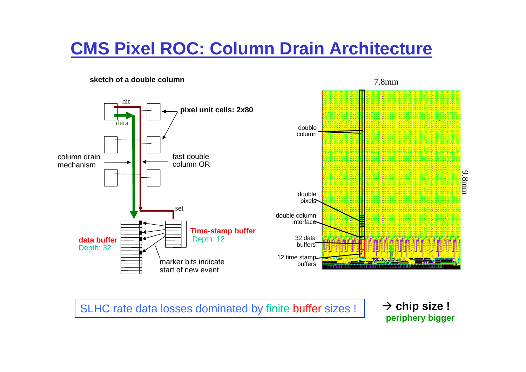### **CMS Pixel ROC: Column Drain Architecture**

#### **sketch of a double column**



SLHC rate data losses dominated by finite buffer sizes !

 $\rightarrow$  chip size ! **periphery bigger**

7.8mm

9.8mm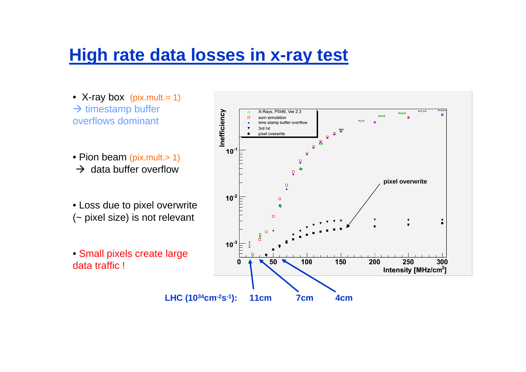### **High rate data losses in x-ray test**

- X-ray b ox (pix.mult.= 1)  $\rightarrow$  timestamp buffer overflows dominant
- Pion beam (pix.mult.> 1)
- $\rightarrow$  data buffer overflow
- Loss due to pixel overwrite (~ pixel size) is not relevant
- Small pixels create large data traffic !

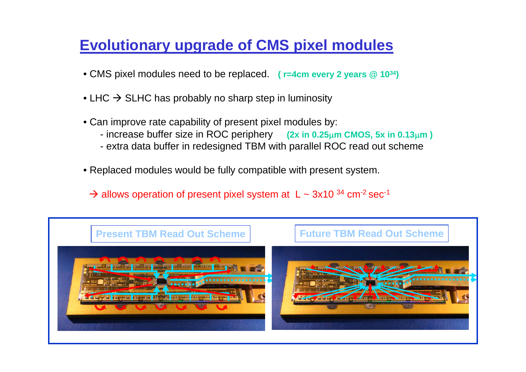### **Evolutionary upgrade of CMS pixel modules**

- CMS pixel modules need to be replaced. **( r=4cm every 2 years @ 1034)**
- $\bullet$  LHC  $\rightarrow$  SLHC has probably no sharp step in luminosity
- Can improve rate capability of present pixel modules by:
	- increase buffer size in ROC periphery **(2x in 0.25**µ**m CMOS, 5x in 0.13**µ**m )**
	- extra data buffer in redesigned TBM with parallel ROC read out scheme
- Replaced modules would be fully compatible with present system.
	- $\rightarrow$  allows operation of present pixel system at L ~ 3x10 <sup>34</sup> cm<sup>-2</sup> sec<sup>-1</sup>

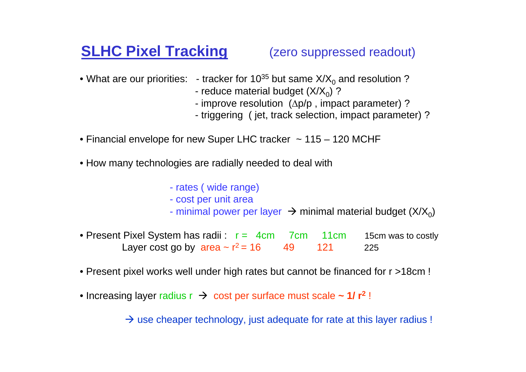### **SLHC Pixel Tracking** (zero suppressed readout)

- $\bullet$  What are our priorities:  $\,$  tracker for 10 $^{35}$  but same X/X $_{0}$  and resolution ?
	- reduce material budget (X/X $_0$ ) ?
	- improv e resolutio n ( ∆p/p , impact parameter) ?
	- triggering ( jet, track selection, impact parameter) ?
- Financial envelope for new Super LHC tracker ~ 115 120 MCHF
- H o w man y technologies are radiall y needed to deal with
	- rates ( wide range)
	- cost per unit area
	- minimal power per layer  $\;\rightarrow$  minimal material budget (X/X $_{\rm o}$ )
- Present Pixel System has radii : r = 4cm 7cm 11cm m 15cm was to costly Layer cost go by  $\,$ area ~ r $^{2}$  = 16  $\,$   $\,$  49  $\,$   $\,$  121  $\,$ 225
- Present pixel works well under high rat es but cannot be financed for r >18cm !
- Increasing layer radius r → cost per surface must scale ~ 1/ r<sup>2</sup>!

 $\rightarrow$  use cheaper technology, just adequate for rate at this layer radius !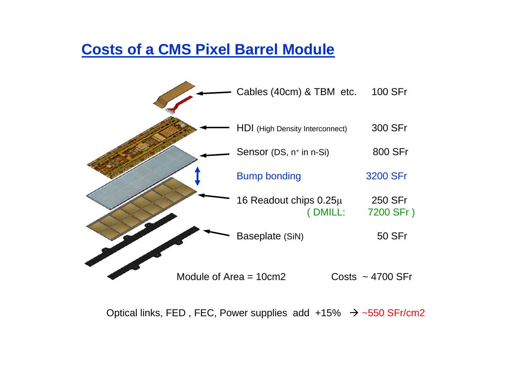#### **Costs of a CMS Pixel Barrel Module**



Optical links, FED, FEC, Power supplies add  $+15\%$   $\rightarrow$  ~550 SFr/cm2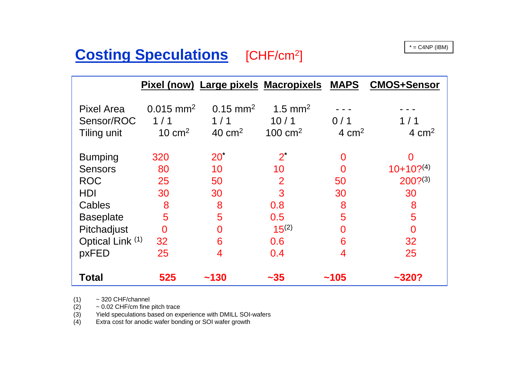### **Costing Speculations** [CHF/cm<sup>2</sup>] **COSTING SPECULATIONS**

|                                                |                                            |                                                  | Pixel (now) Large pixels Macropixels MAPS |                | <b>CMOS+Sensor</b> |
|------------------------------------------------|--------------------------------------------|--------------------------------------------------|-------------------------------------------|----------------|--------------------|
| <b>Pixel Area</b><br>Sensor/ROC<br>Tiling unit | $0.015$ mm <sup>2</sup><br>1/1<br>10 $cm2$ | $0.15 \text{ mm}^2$<br>1/1<br>40 cm <sup>2</sup> | 1.5 mm <sup>2</sup><br>10/1<br>100 $cm2$  | 0/1<br>4 $cm2$ | 1/1<br>4 $cm2$     |
| <b>Bumping</b>                                 | 320                                        | 20 <sup>°</sup>                                  | $2^*$                                     | 0              | 0                  |
| <b>Sensors</b>                                 | 80                                         | 10                                               | 10                                        | 0              | $10+10?^{(4)}$     |
| <b>ROC</b>                                     | 25                                         | 50                                               | $\overline{2}$                            | 50             | $200?^{(3)}$       |
| <b>HDI</b>                                     | 30                                         | 30                                               | 3                                         | 30             | 30                 |
| Cables                                         | 8                                          | 8                                                | 0.8                                       | 8              | 8                  |
| <b>Baseplate</b>                               | 5                                          | 5                                                | 0.5                                       | 5              | 5                  |
| Pitchadjust                                    | $\overline{0}$                             | $\Omega$                                         | $15^{(2)}$                                | $\Omega$       | $\Omega$           |
| Optical Link (1)                               | 32                                         | 6                                                | 0.6                                       | 6              | 32                 |
| pxFED                                          | 25                                         | 4                                                | 0.4                                       | 4              | 25                 |
| <b>Total</b>                                   | 525                                        | ~130                                             | $-35$                                     | ~105           | ~320?              |

(1) ~ 320 C HF/channel

(2) ~ 0.02 CHF/cm fine pitch trace

(3) Yield speculations based on <sup>e</sup> xperience with D MILL SOI-wafers

(4) Extr a cost for anodic wafer bonding or SOI wafer growth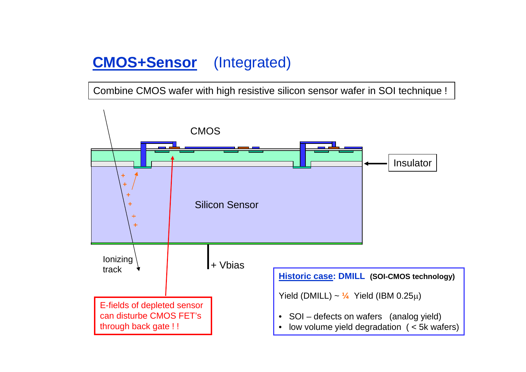### **CMOS+Sensor** (Integrated)

Combine CMOS wafer with high resistive silicon sensor wafer in SOI technique !

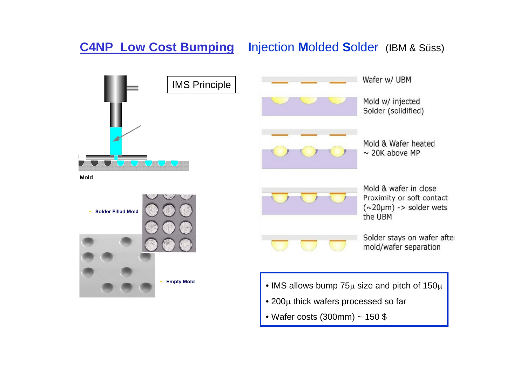#### **C4NP Low Cost Bumping I**njection **M**olded **S**older (IBM & Süss)

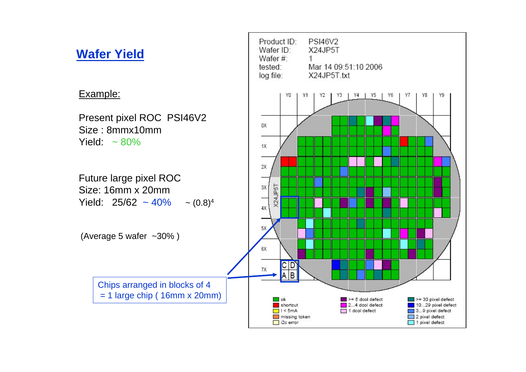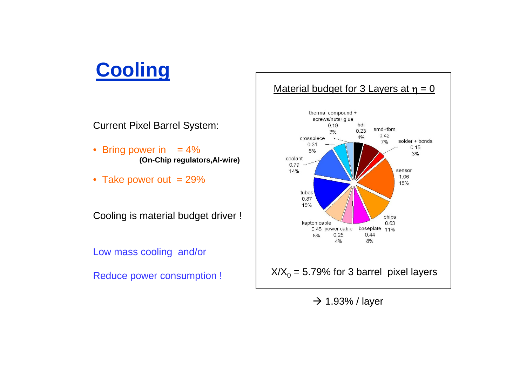## **Cooling**

Current Pixel Barrel System:

- Bring power in  $= 4\%$ **(On-Chip regulators,Al-wire)**
- Take power out  $= 29\%$

Cooling is material budget driver !

Low mass cooling and/or





 $\rightarrow$  1.93% / layer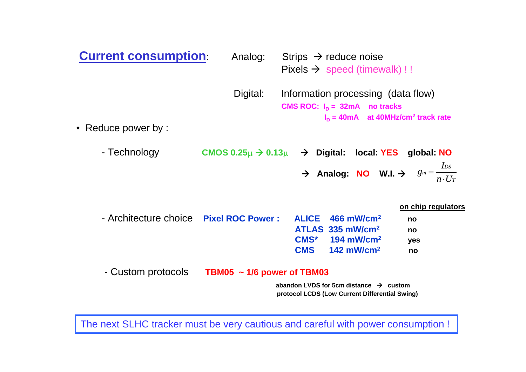| <b>Current consumption:</b> | Analog:                                                 | Strips $\rightarrow$ reduce noise<br>Pixels $\rightarrow$ speed (timewalk) !!                                                                     |                                             |
|-----------------------------|---------------------------------------------------------|---------------------------------------------------------------------------------------------------------------------------------------------------|---------------------------------------------|
| • Reduce power by :         | Digital:                                                | Information processing (data flow)<br>CMS ROC: $I_D = 32mA$ no tracks<br>$I_n = 40mA$ at 40MHz/cm <sup>2</sup> track rate                         |                                             |
| - Technology                | CMOS $0.25\mu \rightarrow 0.13\mu \rightarrow$ Digital: | local: YES<br>Analog: NO W.I. $\Rightarrow$ $g_m = \frac{I_{DS}}{n \cdot U_T}$                                                                    | global: NO                                  |
| - Architecture choice       | <b>Pixel ROC Power:</b>                                 | <b>ALICE</b><br>466 mW/cm <sup>2</sup><br>ATLAS 335 mW/cm <sup>2</sup><br>$CMS*$ 194 mW/cm <sup>2</sup><br><b>CMS</b><br>$142$ mW/cm <sup>2</sup> | on chip regulators<br>no<br>no<br>yes<br>no |
| - Custom protocols          | TBM05 $\sim$ 1/6 power of TBM03                         | abandon LVDS for 5cm distance $\rightarrow$ custom<br>protocol LCDS (Low Current Differential Swing)                                              |                                             |

The next SLHC tracker must be very cautious and careful with power consumption !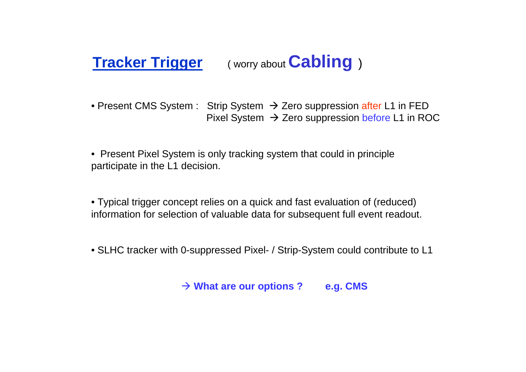### **Tracker Trigger** ( worry about **Cabling** )

- Present CMS System : Strip System → Zero suppression after L1 in FED Pixel System  $\rightarrow$  Zero suppression before L1 in ROC
- Present Pixel System is only tracking system that could in principle participate in the L1 decision.
- Typical trigger concept relies on a quick and fast evaluation of (reduced) information for selection of valuable data for subsequent full event readout.
- SLHC tracker with 0-suppressed Pixel- / Strip-System could contribute to L1

Æ **What are our options ? e.g. CMS**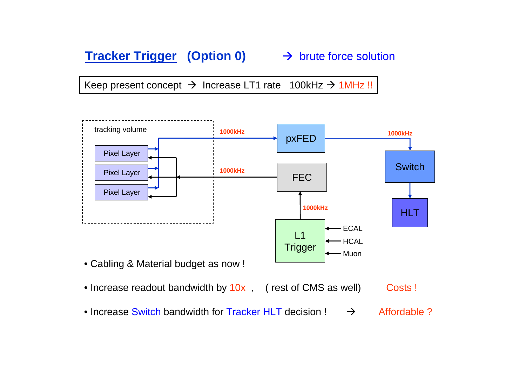#### **Tracker Trigger (Option 0)** → brute force solution

Keep present concept  $\rightarrow$  Increase LT1 rate 100kHz  $\rightarrow$  1MHz !!



- Cabling & Material budget as now !
- Increase readout bandwidth by  $10x$  , ( rest of CMS as well)  $\qquad$  Costs !
- Increase Switch bandwidth for Tracker HLT decision !  $\rightarrow$  $\rightarrow$  Affordable ?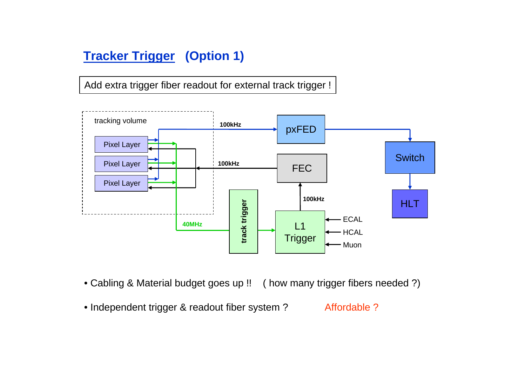#### **Tracker Trigger (Option 1)**

Add extra trigger fiber readout for external track trigger !



- Cabling & Material budget goes up !! ( how many trigger fibers needed ?)
- Independent trigger & readout fiber system ? Affordable ?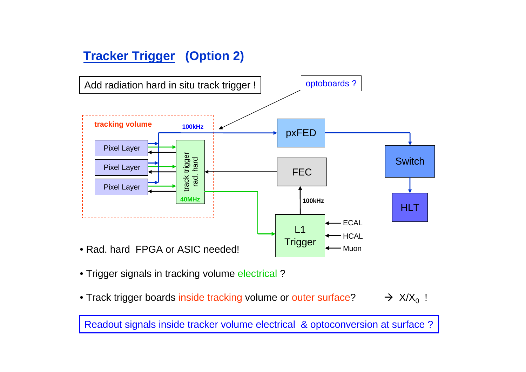#### **Tracker Trigger (Option 2)**



- Trigger signals in tracking volume electrical ?
- $\bullet$  Track trigger boards inside tracking volume or outer surface?  $\qquad \rightarrow \hspace{0.1cm}$  X/X $_0$  $\rightarrow$  X/X<sub>0</sub> !

Readout signals inside tracker volume electrical & optoconversion at surface ?